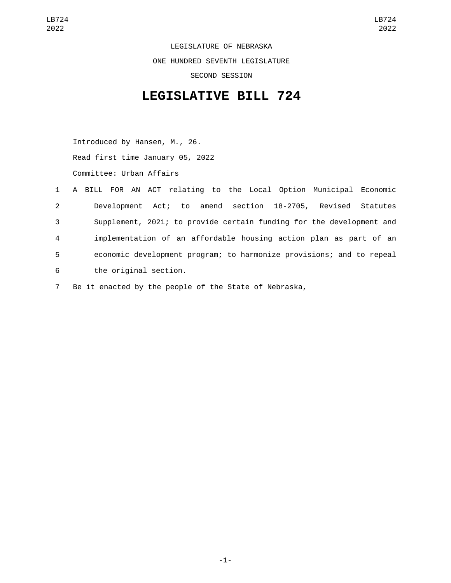LEGISLATURE OF NEBRASKA ONE HUNDRED SEVENTH LEGISLATURE SECOND SESSION

## **LEGISLATIVE BILL 724**

Introduced by Hansen, M., 26. Read first time January 05, 2022 Committee: Urban Affairs

|                           | 1 A BILL FOR AN ACT relating to the Local Option Municipal Economic  |
|---------------------------|----------------------------------------------------------------------|
| $\mathbf{2}^{\mathsf{I}}$ | Development Act; to amend section 18-2705, Revised Statutes          |
| 3                         | Supplement, 2021; to provide certain funding for the development and |
| 4                         | implementation of an affordable housing action plan as part of an    |
| 5                         | economic development program; to harmonize provisions; and to repeal |
| 6                         | the original section.                                                |

7 Be it enacted by the people of the State of Nebraska,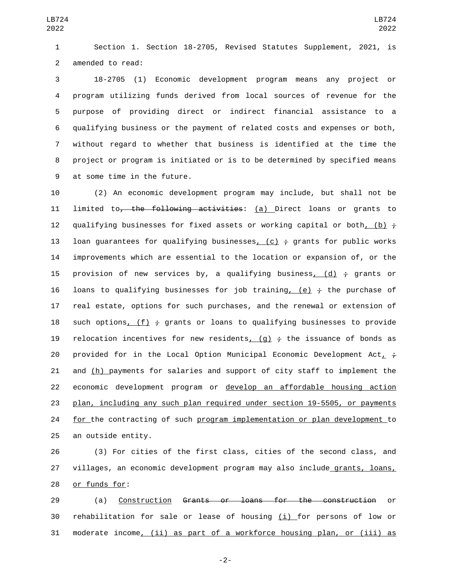1 Section 1. Section 18-2705, Revised Statutes Supplement, 2021, is 2 amended to read:

 18-2705 (1) Economic development program means any project or program utilizing funds derived from local sources of revenue for the purpose of providing direct or indirect financial assistance to a qualifying business or the payment of related costs and expenses or both, without regard to whether that business is identified at the time the project or program is initiated or is to be determined by specified means 9 at some time in the future.

10 (2) An economic development program may include, but shall not be 11 limited to, the following activities: (a) Direct loans or grants to 12 qualifying businesses for fixed assets or working capital or both, (b)  $\div$ 13 loan guarantees for qualifying businesses, (c)  $\div$  grants for public works 14 improvements which are essential to the location or expansion of, or the 15 provision of new services by, a qualifying business, (d)  $\div$  grants or 16 loans to qualifying businesses for job training, (e)  $\div$  the purchase of 17 real estate, options for such purchases, and the renewal or extension of 18 such options,  $(f)$   $\div$  grants or loans to qualifying businesses to provide 19 relocation incentives for new residents,  $(g)$   $\div$  the issuance of bonds as 20 provided for in the Local Option Municipal Economic Development Act,  $\frac{1}{l}$ 21 and (h) payments for salaries and support of city staff to implement the 22 economic development program or develop an affordable housing action 23 plan, including any such plan required under section 19-5505, or payments 24 for the contracting of such program implementation or plan development to 25 an outside entity.

26 (3) For cities of the first class, cities of the second class, and 27 villages, an economic development program may also include grants, loans, 28 or funds for:

29 (a) Construction Grants or loans for the construction or 30 rehabilitation for sale or lease of housing (i) for persons of low or 31 moderate income, (ii) as part of a workforce housing plan, or (iii) as

-2-